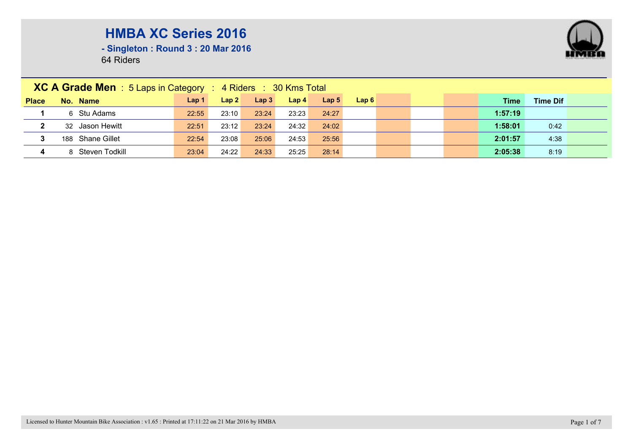

**- Singleton : Round 3 : 20 Mar 2016**

|              | <b>XC A Grade Men</b> : 5 Laps in Category : 4 Riders : 30 Kms Total |                  |       |                  |                  |                  |      |  |  |  |         |                 |  |  |
|--------------|----------------------------------------------------------------------|------------------|-------|------------------|------------------|------------------|------|--|--|--|---------|-----------------|--|--|
| <b>Place</b> | No. Name                                                             | Lap <sub>1</sub> | Lap 2 | Lap <sub>3</sub> | Lap <sub>4</sub> | Lap <sub>5</sub> | Lap6 |  |  |  | Time    | <b>Time Dif</b> |  |  |
|              | 6 Stu Adams                                                          | 22:55            | 23:10 | 23:24            | 23:23            | 24:27            |      |  |  |  | 1:57:19 |                 |  |  |
| $\mathbf{2}$ | 32 Jason Hewitt                                                      | 22:51            | 23:12 | 23:24            | 24:32            | 24:02            |      |  |  |  | 1:58:01 | 0:42            |  |  |
| 3            | 188 Shane Gillet                                                     | 22:54            | 23:08 | 25:06            | 24:53            | 25:56            |      |  |  |  | 2:01:57 | 4:38            |  |  |
| 4            | 8 Steven Todkill                                                     | 23:04            | 24:22 | 24:33            | 25:25            | 28:14            |      |  |  |  | 2:05:38 | 8:19            |  |  |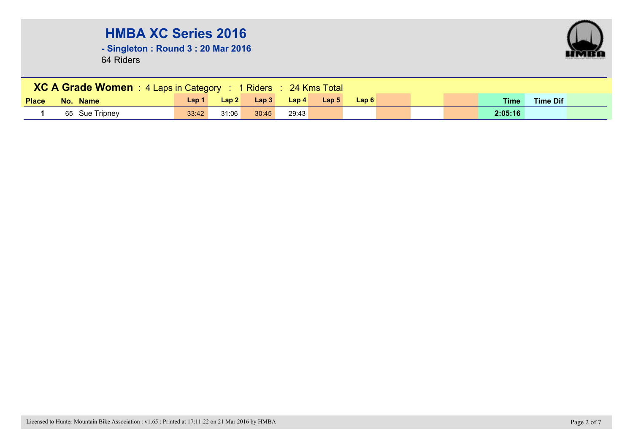**- Singleton : Round 3 : 20 Mar 2016**



|              | XC A Grade Women : 4 Laps in Category : 1 Riders : 24 Kms Total |       |       |       |       |                  |       |  |  |  |             |                 |  |  |
|--------------|-----------------------------------------------------------------|-------|-------|-------|-------|------------------|-------|--|--|--|-------------|-----------------|--|--|
| <b>Place</b> | No. Name                                                        | Lap 1 | Lap2  | Lap3  | Lap4  | Lap <sub>5</sub> | Lap 6 |  |  |  | <b>Time</b> | <b>Time Dif</b> |  |  |
|              | 65 Sue Tripney                                                  | 33:42 | 31:06 | 30:45 | 29:43 |                  |       |  |  |  | 2:05:16     |                 |  |  |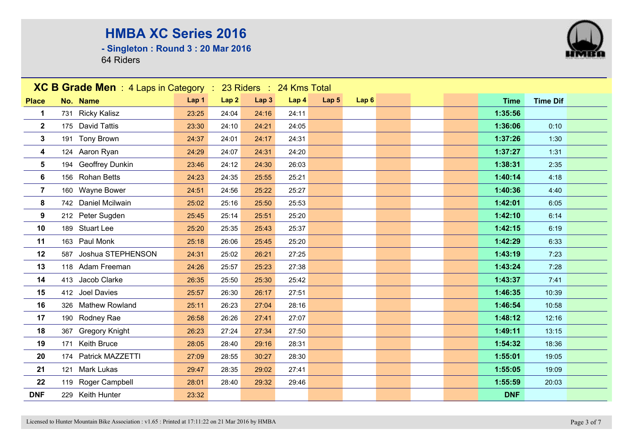**- Singleton : Round 3 : 20 Mar 2016**



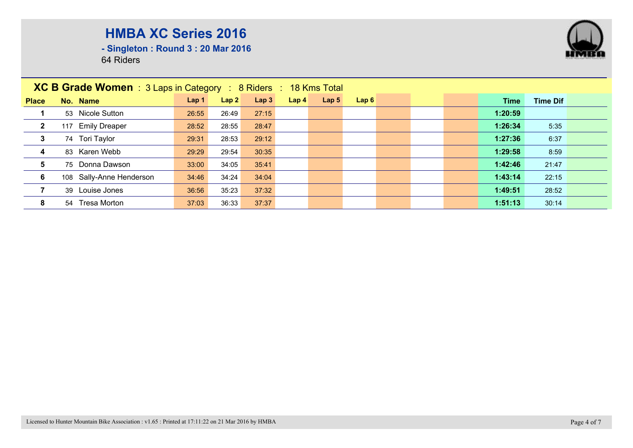

**- Singleton : Round 3 : 20 Mar 2016**

|                         | <b>XC B Grade Women</b> : $3$ Laps in Category : $8$ Riders : $18$ Kms Total |                  |       |       |                  |                  |      |  |  |  |         |                 |  |
|-------------------------|------------------------------------------------------------------------------|------------------|-------|-------|------------------|------------------|------|--|--|--|---------|-----------------|--|
| <b>Place</b>            | No. Name                                                                     | Lap <sub>1</sub> | Lap2  | Lap 3 | Lap <sub>4</sub> | Lap <sub>5</sub> | Lap6 |  |  |  | Time    | <b>Time Dif</b> |  |
|                         | 53 Nicole Sutton                                                             | 26:55            | 26:49 | 27:15 |                  |                  |      |  |  |  | 1:20:59 |                 |  |
| $\overline{\mathbf{2}}$ | <b>Emily Dreaper</b><br>117                                                  | 28:52            | 28:55 | 28:47 |                  |                  |      |  |  |  | 1:26:34 | 5:35            |  |
| 3                       | 74 Tori Taylor                                                               | 29:31            | 28:53 | 29:12 |                  |                  |      |  |  |  | 1:27:36 | 6:37            |  |
| 4                       | 83 Karen Webb                                                                | 29:29            | 29:54 | 30:35 |                  |                  |      |  |  |  | 1:29:58 | 8:59            |  |
| 5                       | 75 Donna Dawson                                                              | 33:00            | 34:05 | 35:41 |                  |                  |      |  |  |  | 1:42:46 | 21:47           |  |
| 6                       | 108 Sally-Anne Henderson                                                     | 34:46            | 34:24 | 34:04 |                  |                  |      |  |  |  | 1:43:14 | 22:15           |  |
| $\overline{7}$          | 39 Louise Jones                                                              | 36:56            | 35:23 | 37:32 |                  |                  |      |  |  |  | 1:49:51 | 28:52           |  |
| 8                       | <b>Tresa Morton</b><br>54                                                    | 37:03            | 36:33 | 37:37 |                  |                  |      |  |  |  | 1:51:13 | 30:14           |  |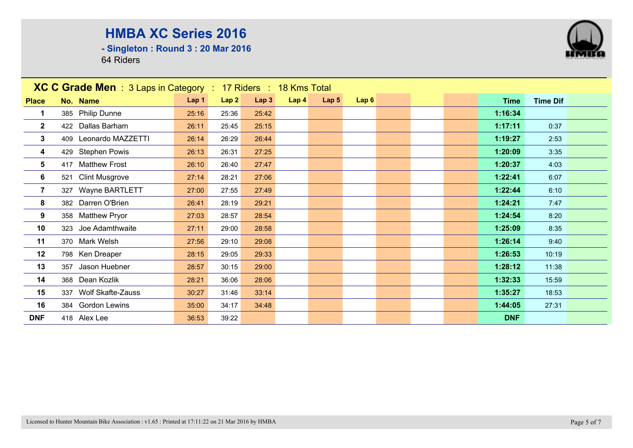**- Singleton : Round 3 : 20 Mar 2016**

| <b>XC C Grade Men</b> : 3 Laps in Category : 17 Riders : 18 Kms Total |                       |       |       |       |      |                  |      |  |             |                 |  |
|-----------------------------------------------------------------------|-----------------------|-------|-------|-------|------|------------------|------|--|-------------|-----------------|--|
| <b>Place</b>                                                          | No. Name              | Lap 1 | Lap2  | Lap3  | Lap4 | Lap <sub>5</sub> | Lap6 |  | <b>Time</b> | <b>Time Dif</b> |  |
| 1                                                                     | 385 Philip Dunne      | 25:16 | 25:36 | 25:42 |      |                  |      |  | 1:16:34     |                 |  |
| $\mathbf{2}$                                                          | 422 Dallas Barham     | 26:11 | 25:45 | 25:15 |      |                  |      |  | 1:17:11     | 0:37            |  |
| $\mathbf{3}$                                                          | 409 Leonardo MAZZETTI | 26:14 | 26:29 | 26:44 |      |                  |      |  | 1:19:27     | 2:53            |  |
| 4                                                                     | 429 Stephen Powis     | 26:13 | 26:31 | 27:25 |      |                  |      |  | 1:20:09     | 3:35            |  |
| 5                                                                     | 417 Matthew Frost     | 26:10 | 26:40 | 27:47 |      |                  |      |  | 1:20:37     | 4:03            |  |
| 6                                                                     | 521 Clint Musgrove    | 27:14 | 28:21 | 27:06 |      |                  |      |  | 1:22:41     | 6:07            |  |
| $\overline{7}$                                                        | 327 Wayne BARTLETT    | 27:00 | 27:55 | 27:49 |      |                  |      |  | 1:22:44     | 6:10            |  |
| 8                                                                     | 382 Darren O'Brien    | 26:41 | 28:19 | 29:21 |      |                  |      |  | 1:24:21     | 7:47            |  |
| $\boldsymbol{9}$                                                      | 358 Matthew Pryor     | 27:03 | 28:57 | 28:54 |      |                  |      |  | 1:24:54     | 8:20            |  |
| 10                                                                    | 323 Joe Adamthwaite   | 27:11 | 29:00 | 28:58 |      |                  |      |  | 1:25:09     | 8:35            |  |
| 11                                                                    | 370 Mark Welsh        | 27:56 | 29:10 | 29:08 |      |                  |      |  | 1:26:14     | 9:40            |  |
| 12                                                                    | 798 Ken Dreaper       | 28:15 | 29:05 | 29:33 |      |                  |      |  | 1:26:53     | 10:19           |  |
| 13                                                                    | 357 Jason Huebner     | 28:57 | 30:15 | 29:00 |      |                  |      |  | 1:28:12     | 11:38           |  |
| 14                                                                    | 368 Dean Kozlik       | 28:21 | 36:06 | 28:06 |      |                  |      |  | 1:32:33     | 15:59           |  |
| 15                                                                    | 337 Wolf Skafte-Zauss | 30:27 | 31:46 | 33:14 |      |                  |      |  | 1:35:27     | 18:53           |  |
| 16                                                                    | 384 Gordon Lewins     | 35:00 | 34:17 | 34:48 |      |                  |      |  | 1:44:05     | 27:31           |  |
| <b>DNF</b>                                                            | 418 Alex Lee          | 36:53 | 39:22 |       |      |                  |      |  | <b>DNF</b>  |                 |  |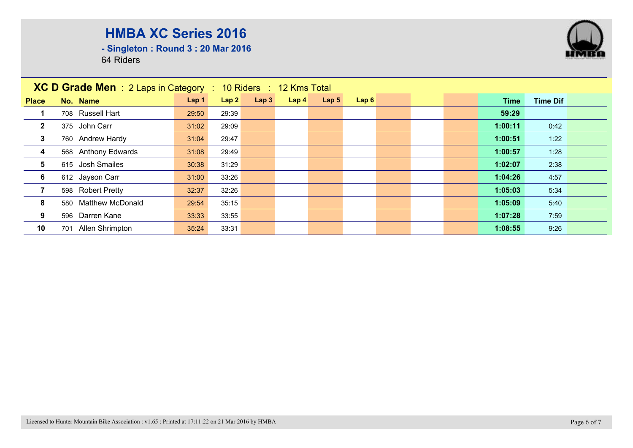**- Singleton : Round 3 : 20 Mar 2016**

|                         | XC D Grade Men : 2 Laps in Category : 10 Riders : 12 Kms Total |                  |       |      |                  |                  |      |  |  |  |         |                 |  |
|-------------------------|----------------------------------------------------------------|------------------|-------|------|------------------|------------------|------|--|--|--|---------|-----------------|--|
| <b>Place</b>            | No. Name                                                       | Lap <sub>1</sub> | Lap2  | Lap3 | Lap <sub>4</sub> | Lap <sub>5</sub> | Lap6 |  |  |  | Time    | <b>Time Dif</b> |  |
|                         | 708 Russell Hart                                               | 29:50            | 29:39 |      |                  |                  |      |  |  |  | 59:29   |                 |  |
| $\overline{2}$          | 375 John Carr                                                  | 31:02            | 29:09 |      |                  |                  |      |  |  |  | 1:00:11 | 0:42            |  |
| $\mathbf{3}$            | 760 Andrew Hardy                                               | 31:04            | 29:47 |      |                  |                  |      |  |  |  | 1:00:51 | 1:22            |  |
| $\overline{\mathbf{4}}$ | 568 Anthony Edwards                                            | 31:08            | 29:49 |      |                  |                  |      |  |  |  | 1:00:57 | 1:28            |  |
| 5                       | 615 Josh Smailes                                               | 30:38            | 31:29 |      |                  |                  |      |  |  |  | 1:02:07 | 2:38            |  |
| 6                       | 612 Jayson Carr                                                | 31:00            | 33:26 |      |                  |                  |      |  |  |  | 1:04:26 | 4:57            |  |
|                         | 598 Robert Pretty                                              | 32:37            | 32:26 |      |                  |                  |      |  |  |  | 1:05:03 | 5:34            |  |
| 8                       | 580 Matthew McDonald                                           | 29:54            | 35:15 |      |                  |                  |      |  |  |  | 1:05:09 | 5:40            |  |
| 9                       | 596 Darren Kane                                                | 33:33            | 33:55 |      |                  |                  |      |  |  |  | 1:07:28 | 7:59            |  |
| 10                      | 701 Allen Shrimpton                                            | 35:24            | 33:31 |      |                  |                  |      |  |  |  | 1:08:55 | 9:26            |  |